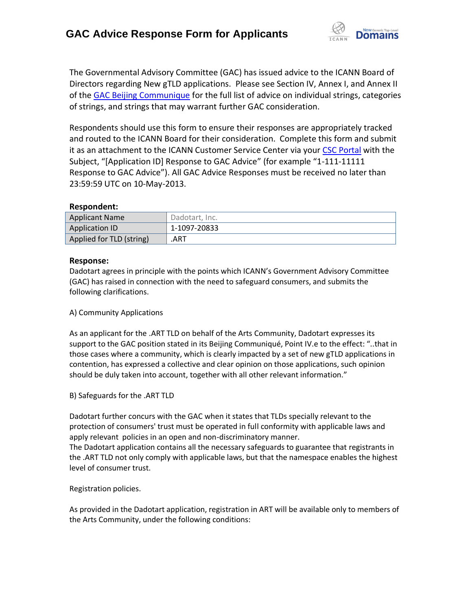

The Governmental Advisory Committee (GAC) has issued advice to the ICANN Board of Directors regarding New gTLD applications. Please see Section IV, Annex I, and Annex II of the [GAC Beijing Communique](http://www.icann.org/en/news/correspondence/gac-to-board-18apr13-en.pdf) for the full list of advice on individual strings, categories of strings, and strings that may warrant further GAC consideration.

Respondents should use this form to ensure their responses are appropriately tracked and routed to the ICANN Board for their consideration. Complete this form and submit it as an attachment to the ICANN Customer Service Center via your CSC [Portal](https://myicann.secure.force.com/) with the Subject, "[Application ID] Response to GAC Advice" (for example "1-111-11111 Response to GAC Advice"). All GAC Advice Responses must be received no later than 23:59:59 UTC on 10-May-2013.

#### **Respondent:**

| <b>Applicant Name</b>    | Dadotart, Inc. |
|--------------------------|----------------|
| <b>Application ID</b>    | 1-1097-20833   |
| Applied for TLD (string) | .ART           |

### **Response:**

Dadotart agrees in principle with the points which ICANN's Government Advisory Committee (GAC) has raised in connection with the need to safeguard consumers, and submits the following clarifications.

#### A) Community Applications

As an applicant for the .ART TLD on behalf of the Arts Community, Dadotart expresses its support to the GAC position stated in its Beijing Communiqué, Point IV.e to the effect: "..that in those cases where a community, which is clearly impacted by a set of new gTLD applications in contention, has expressed a collective and clear opinion on those applications, such opinion should be duly taken into account, together with all other relevant information."

#### B) Safeguards for the .ART TLD

Dadotart further concurs with the GAC when it states that TLDs specially relevant to the protection of consumers' trust must be operated in full conformity with applicable laws and apply relevant policies in an open and non-discriminatory manner.

The Dadotart application contains all the necessary safeguards to guarantee that registrants in the .ART TLD not only comply with applicable laws, but that the namespace enables the highest level of consumer trust.

#### Registration policies.

As provided in the Dadotart application, registration in ART will be available only to members of the Arts Community, under the following conditions: